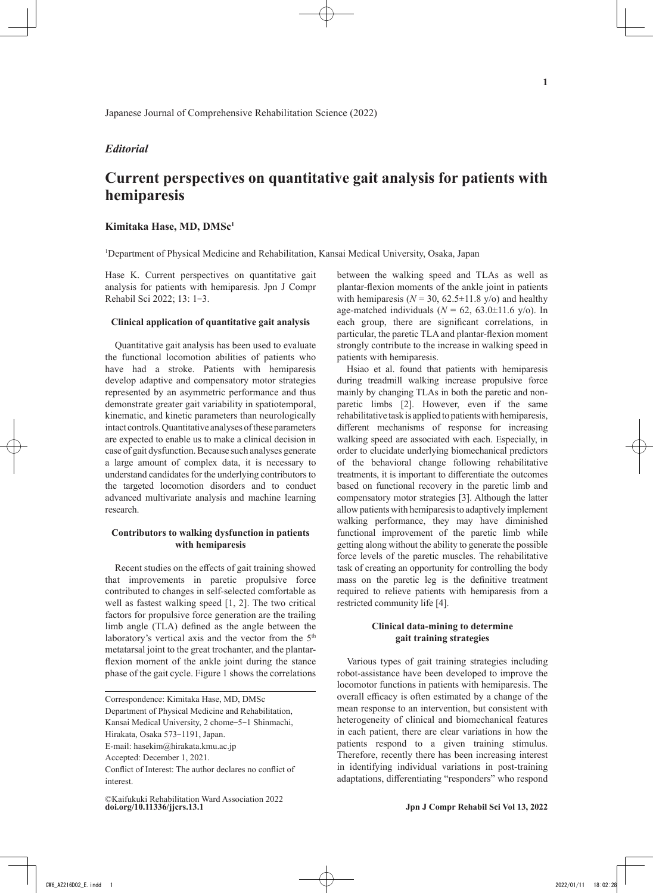## *Editorial*

# **Current perspectives on quantitative gait analysis for patients with hemiparesis**

## **Kimitaka Hase, MD, DMSc1**

1 Department of Physical Medicine and Rehabilitation, Kansai Medical University, Osaka, Japan

Hase K. Current perspectives on quantitative gait analysis for patients with hemiparesis. Jpn J Compr Rehabil Sci 2022; 13: 1‒3.

#### **Clinical application of quantitative gait analysis**

Quantitative gait analysis has been used to evaluate the functional locomotion abilities of patients who have had a stroke. Patients with hemiparesis develop adaptive and compensatory motor strategies represented by an asymmetric performance and thus demonstrate greater gait variability in spatiotemporal, kinematic, and kinetic parameters than neurologically intact controls. Quantitative analyses of these parameters are expected to enable us to make a clinical decision in case of gait dysfunction. Because such analyses generate a large amount of complex data, it is necessary to understand candidates for the underlying contributors to the targeted locomotion disorders and to conduct advanced multivariate analysis and machine learning research.

### **Contributors to walking dysfunction in patients with hemiparesis**

Recent studies on the effects of gait training showed that improvements in paretic propulsive force contributed to changes in self-selected comfortable as well as fastest walking speed [1, 2]. The two critical factors for propulsive force generation are the trailing limb angle (TLA) defined as the angle between the laboratory's vertical axis and the vector from the 5<sup>th</sup> metatarsal joint to the great trochanter, and the plantarflexion moment of the ankle joint during the stance phase of the gait cycle. Figure 1 shows the correlations between the walking speed and TLAs as well as plantar-flexion moments of the ankle joint in patients with hemiparesis ( $N = 30$ ,  $62.5 \pm 11.8$  y/o) and healthy age-matched individuals ( $N = 62$ , 63.0±11.6 y/o). In each group, there are significant correlations, in particular, the paretic TLA and plantar-flexion moment strongly contribute to the increase in walking speed in patients with hemiparesis.

Hsiao et al. found that patients with hemiparesis during treadmill walking increase propulsive force mainly by changing TLAs in both the paretic and nonparetic limbs [2]. However, even if the same rehabilitative task is applied to patients with hemiparesis, different mechanisms of response for increasing walking speed are associated with each. Especially, in order to elucidate underlying biomechanical predictors of the behavioral change following rehabilitative treatments, it is important to differentiate the outcomes based on functional recovery in the paretic limb and compensatory motor strategies [3]. Although the latter allow patients with hemiparesis to adaptively implement walking performance, they may have diminished functional improvement of the paretic limb while getting along without the ability to generate the possible force levels of the paretic muscles. The rehabilitative task of creating an opportunity for controlling the body mass on the paretic leg is the definitive treatment required to relieve patients with hemiparesis from a restricted community life [4].

## **Clinical data-mining to determine gait training strategies**

Various types of gait training strategies including robot-assistance have been developed to improve the locomotor functions in patients with hemiparesis. The overall efficacy is often estimated by a change of the mean response to an intervention, but consistent with heterogeneity of clinical and biomechanical features in each patient, there are clear variations in how the patients respond to a given training stimulus. Therefore, recently there has been increasing interest in identifying individual variations in post-training adaptations, differentiating "responders" who respond

Correspondence: Kimitaka Hase, MD, DMSc

Department of Physical Medicine and Rehabilitation,

Kansai Medical University, 2 chome-5-1 Shinmachi,

Hirakata, Osaka 573-1191, Japan.

E-mail: hasekim@hirakata.kmu.ac.jp

Accepted: December 1, 2021.

Conflict of Interest: The author declares no conflict of interest.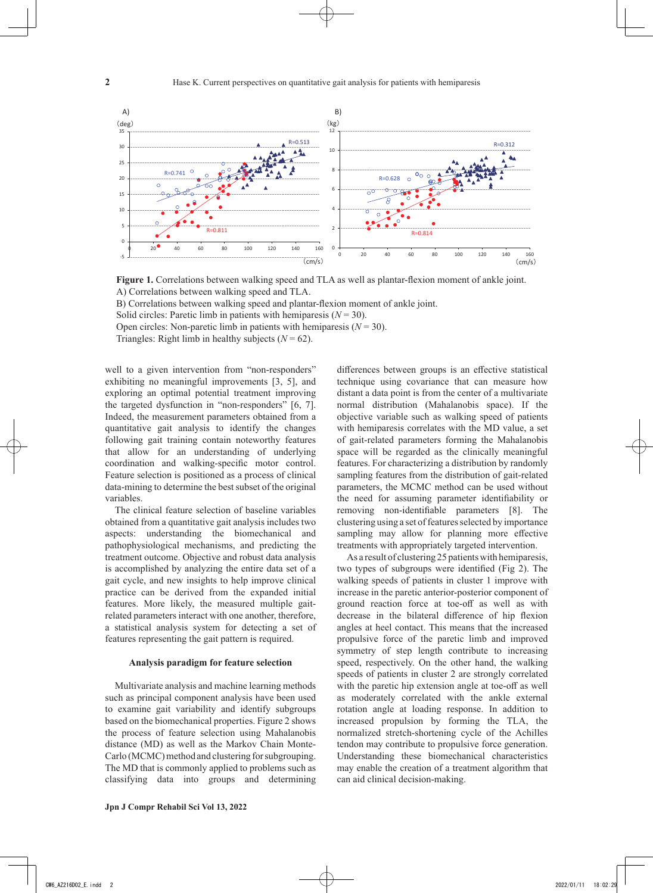

**Figure 1.** Correlations between walking speed and TLA as well as plantar-flexion moment of ankle joint. A) Correlations between walking speed and TLA.

B) Correlations between walking speed and plantar-flexion moment of ankle joint.

Solid circles: Paretic limb in patients with hemiparesis  $(N = 30)$ .

Open circles: Non-paretic limb in patients with hemiparesis  $(N = 30)$ .

Triangles: Right limb in healthy subjects  $(N = 62)$ .

well to a given intervention from "non-responders" exhibiting no meaningful improvements [3, 5], and exploring an optimal potential treatment improving the targeted dysfunction in "non-responders" [6, 7]. Indeed, the measurement parameters obtained from a quantitative gait analysis to identify the changes following gait training contain noteworthy features that allow for an understanding of underlying coordination and walking-specific motor control. Feature selection is positioned as a process of clinical data-mining to determine the best subset of the original variables.

The clinical feature selection of baseline variables obtained from a quantitative gait analysis includes two aspects: understanding the biomechanical and pathophysiological mechanisms, and predicting the treatment outcome. Objective and robust data analysis is accomplished by analyzing the entire data set of a gait cycle, and new insights to help improve clinical practice can be derived from the expanded initial features. More likely, the measured multiple gaitrelated parameters interact with one another, therefore, a statistical analysis system for detecting a set of features representing the gait pattern is required.

#### **Analysis paradigm for feature selection**

Multivariate analysis and machine learning methods such as principal component analysis have been used to examine gait variability and identify subgroups based on the biomechanical properties. Figure 2 shows the process of feature selection using Mahalanobis distance (MD) as well as the Markov Chain Monte-Carlo (MCMC) method and clustering for subgrouping. The MD that is commonly applied to problems such as classifying data into groups and determining differences between groups is an effective statistical technique using covariance that can measure how distant a data point is from the center of a multivariate normal distribution (Mahalanobis space). If the objective variable such as walking speed of patients with hemiparesis correlates with the MD value, a set of gait-related parameters forming the Mahalanobis space will be regarded as the clinically meaningful features. For characterizing a distribution by randomly sampling features from the distribution of gait-related parameters, the MCMC method can be used without the need for assuming parameter identifiability or removing non-identifiable parameters [8]. The clustering using a set of features selected by importance sampling may allow for planning more effective treatments with appropriately targeted intervention.

As a result of clustering 25 patients with hemiparesis, two types of subgroups were identified (Fig 2). The walking speeds of patients in cluster 1 improve with increase in the paretic anterior-posterior component of ground reaction force at toe-off as well as with decrease in the bilateral difference of hip flexion angles at heel contact. This means that the increased propulsive force of the paretic limb and improved symmetry of step length contribute to increasing speed, respectively. On the other hand, the walking speeds of patients in cluster 2 are strongly correlated with the paretic hip extension angle at toe-off as well as moderately correlated with the ankle external rotation angle at loading response. In addition to increased propulsion by forming the TLA, the normalized stretch-shortening cycle of the Achilles tendon may contribute to propulsive force generation. Understanding these biomechanical characteristics may enable the creation of a treatment algorithm that can aid clinical decision-making.